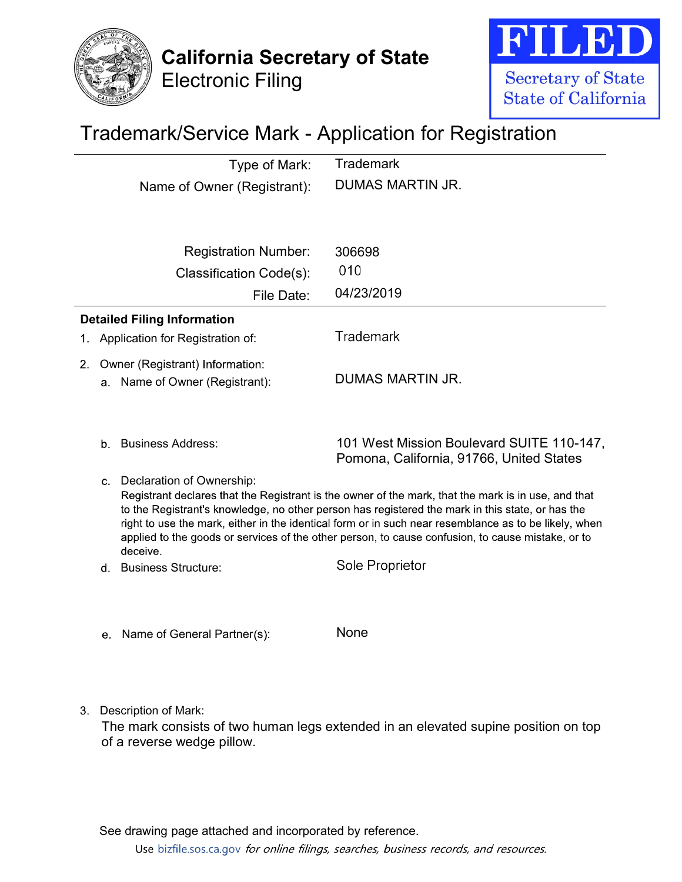



#### Trademark/Service Mark - Application for Registration

| Type of Mark:                                                           | <b>Trademark</b>                                                                                                                                                                                                                                                                                                                                                                                                      |
|-------------------------------------------------------------------------|-----------------------------------------------------------------------------------------------------------------------------------------------------------------------------------------------------------------------------------------------------------------------------------------------------------------------------------------------------------------------------------------------------------------------|
| Name of Owner (Registrant):                                             | <b>DUMAS MARTIN JR.</b>                                                                                                                                                                                                                                                                                                                                                                                               |
|                                                                         |                                                                                                                                                                                                                                                                                                                                                                                                                       |
| <b>Registration Number:</b>                                             | 306698                                                                                                                                                                                                                                                                                                                                                                                                                |
| <b>Classification Code(s):</b>                                          | 010                                                                                                                                                                                                                                                                                                                                                                                                                   |
| File Date:                                                              | 04/23/2019                                                                                                                                                                                                                                                                                                                                                                                                            |
| <b>Detailed Filing Information</b>                                      |                                                                                                                                                                                                                                                                                                                                                                                                                       |
| 1. Application for Registration of:                                     | Trademark                                                                                                                                                                                                                                                                                                                                                                                                             |
| 2. Owner (Registrant) Information:<br>Name of Owner (Registrant):<br>a. | <b>DUMAS MARTIN JR.</b>                                                                                                                                                                                                                                                                                                                                                                                               |
| <b>Business Address:</b><br>b.                                          | 101 West Mission Boulevard SUITE 110-147,<br>Pomona, California, 91766, United States                                                                                                                                                                                                                                                                                                                                 |
| Declaration of Ownership:<br>С.<br>deceive.                             | Registrant declares that the Registrant is the owner of the mark, that the mark is in use, and that<br>to the Registrant's knowledge, no other person has registered the mark in this state, or has the<br>right to use the mark, either in the identical form or in such near resemblance as to be likely, when<br>applied to the goods or services of the other person, to cause confusion, to cause mistake, or to |
| <b>Business Structure:</b><br>d.                                        | Sole Proprietor                                                                                                                                                                                                                                                                                                                                                                                                       |
|                                                                         |                                                                                                                                                                                                                                                                                                                                                                                                                       |
| Name of General Partner(s):<br>е.                                       | None                                                                                                                                                                                                                                                                                                                                                                                                                  |
|                                                                         |                                                                                                                                                                                                                                                                                                                                                                                                                       |

Description of Mark:

The mark consists of two human legs extended in an elevated supine position on top of a reverse wedge pillow.

See drawing page attached and incorporated by reference.

Use bizfile.sos.ca.gov for online filings, searches, business records, and resources.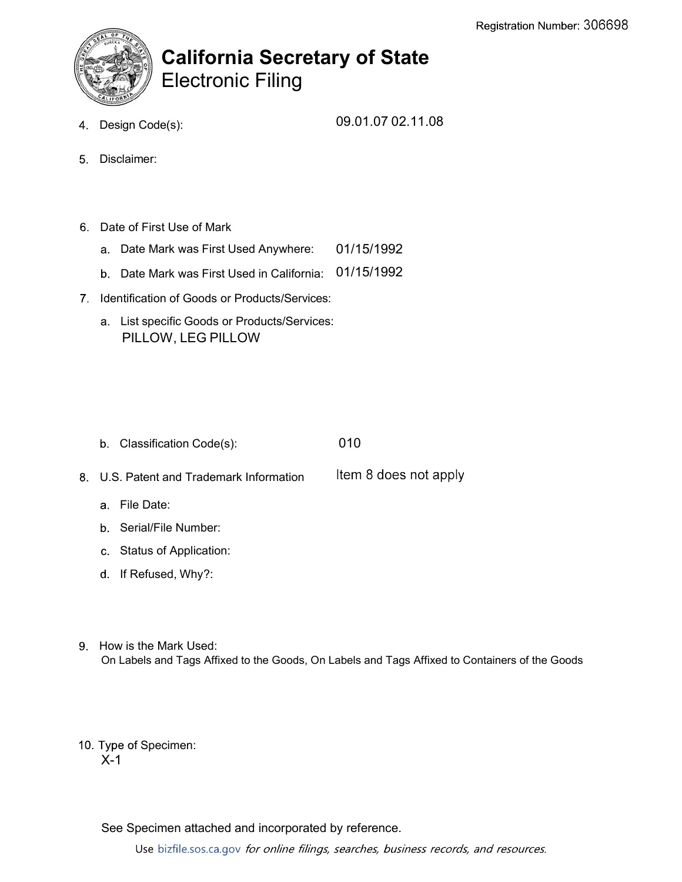

### California Secretary of State Electronic Filing

Design Code(s):

09.01.07 02.11.08

- Disclaimer:
- Date of First Use of Mark
	- a. Date Mark was First Used Anywhere: 01/15/1992
	- Date Mark was First Used in California: 01/15/1992
- 7. Identification of Goods or Products/Services:
	- List specific Goods or Products/Services: PILLOW, LEG PILLOW

b. Classification Code(s): 010

U.S. Patent and Trademark Information

- File Date:
- b. Serial/File Number:
- Status of Application:
- d If Refused, Why?:
- How is the Mark Used: On Labels and Tags Affixed to the Goods, On Labels and Tags Affixed to Containers of the Goods Disclaimer:<br>
Date of First Use of Mark<br>
a. Date Mark was First Used Anywhere: 01/15/1992<br>
b. Date Mark was First Used in California: 01/15/1992<br>
dentification of Goods or Products/Services:<br>
2. List specific Goods or Produ

## 10. Type of Specimen:

See Specimen attached and incorporated by reference.

Use bizfile.sos.ca.gov for online filings, searches, business records, and resources.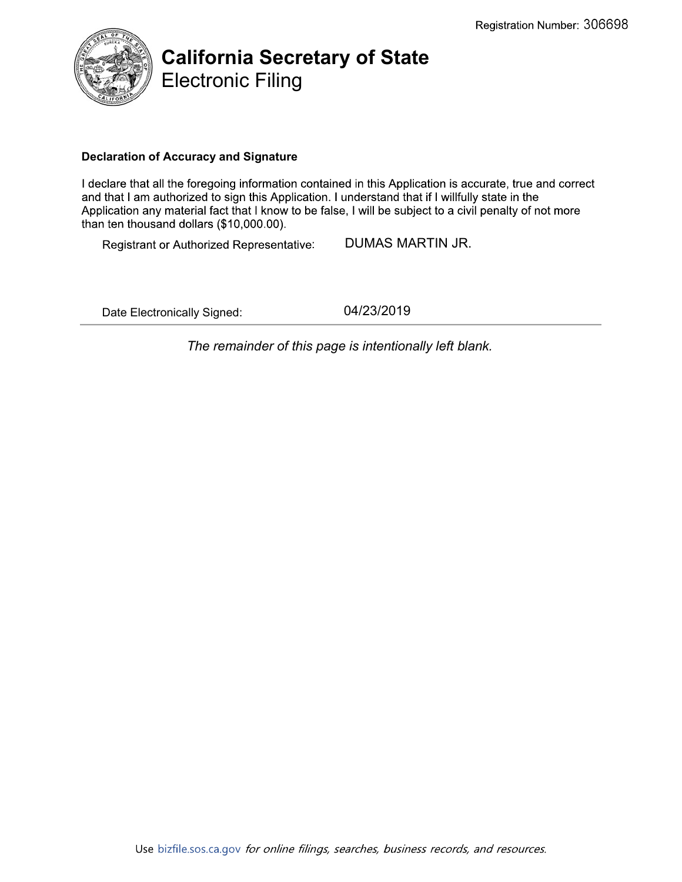

#### California Secretary of State Electronic Filing

#### Declaration of Accuracy and Signature

understand that if I willfully state in the<br>, I will be subject to a civil penalty of not more<br>DUMAS MARTIN JR.<br>04/23/2019 than ten thousand dollars (\$10,000.00).

Registrant or Authorized Representative:

Date Electronically Signed:

The remainder of this page is intentionally left blank.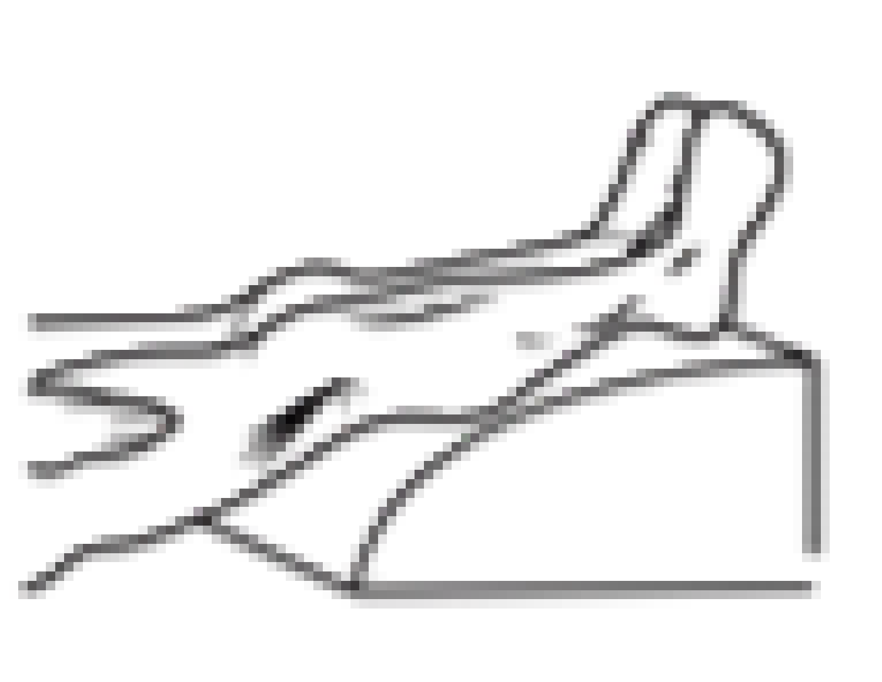